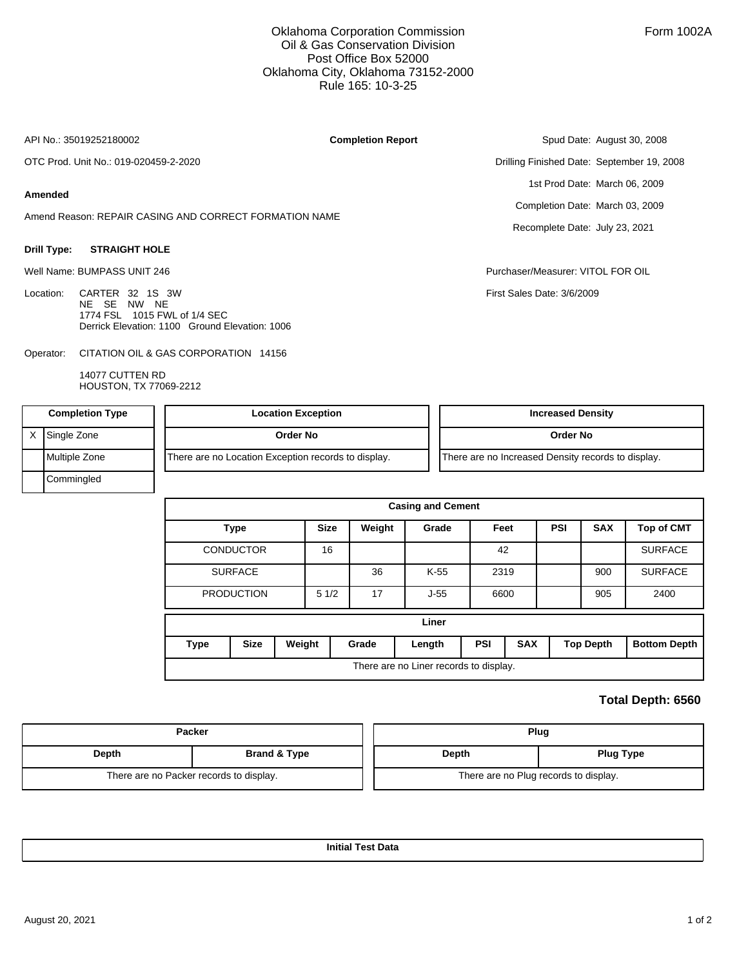## Oklahoma Corporation Commission Oil & Gas Conservation Division Post Office Box 52000 Oklahoma City, Oklahoma 73152-2000 Rule 165: 10-3-25

API No.: 35019252180002

**Completion Report**

OTC Prod. Unit No.: 019-020459-2-2020

### **Amended**

Amend Reason: REPAIR CASING AND CORRECT FORMATION NAME

#### **Drill Type: STRAIGHT HOLE**

Well Name: BUMPASS UNIT 246 Purchaser/Measurer: VITOL FOR OIL

Location: CARTER 32 1S 3W NE SE NW NE 1774 FSL 1015 FWL of 1/4 SEC Derrick Elevation: 1100 Ground Elevation: 1006

CITATION OIL & GAS CORPORATION 14156 Operator:

> 14077 CUTTEN RD HOUSTON, TX 77069-2212

Spud Date: August 30, 2008 Drilling Finished Date: September 19, 2008 1st Prod Date: March 06, 2009 Completion Date: March 03, 2009

Recomplete Date: July 23, 2021

First Sales Date: 3/6/2009

| <b>Completion Type</b> |               | <b>Location Exception</b>                           | <b>Increased Density</b>                           |  |
|------------------------|---------------|-----------------------------------------------------|----------------------------------------------------|--|
|                        | Single Zone   | Order No                                            | Order No                                           |  |
|                        | Multiple Zone | There are no Location Exception records to display. | There are no Increased Density records to display. |  |
|                        | Commingled    |                                                     |                                                    |  |

|                                        | <b>Casing and Cement</b>           |  |       |        |                          |      |  |                  |                     |                   |  |
|----------------------------------------|------------------------------------|--|-------|--------|--------------------------|------|--|------------------|---------------------|-------------------|--|
|                                        | <b>Type</b>                        |  |       | Weight | Grade                    | Feet |  | <b>PSI</b>       | <b>SAX</b>          | <b>Top of CMT</b> |  |
|                                        | <b>CONDUCTOR</b><br><b>SURFACE</b> |  |       |        |                          | 42   |  |                  |                     | <b>SURFACE</b>    |  |
|                                        |                                    |  |       | 36     | K-55                     | 2319 |  |                  | 900                 | <b>SURFACE</b>    |  |
|                                        | <b>PRODUCTION</b>                  |  |       | 17     | $J-55$                   | 6600 |  | 905              |                     | 2400              |  |
| Liner                                  |                                    |  |       |        |                          |      |  |                  |                     |                   |  |
| <b>Type</b>                            | <b>Size</b><br>Weight              |  | Grade | Length | <b>PSI</b><br><b>SAX</b> |      |  | <b>Top Depth</b> | <b>Bottom Depth</b> |                   |  |
| There are no Liner records to display. |                                    |  |       |        |                          |      |  |                  |                     |                   |  |

# **Total Depth: 6560**

|       | Packer                                  | Plug                                  |                  |  |  |
|-------|-----------------------------------------|---------------------------------------|------------------|--|--|
| Depth | Brand & Type                            | Depth                                 | <b>Plug Type</b> |  |  |
|       | There are no Packer records to display. | There are no Plug records to display. |                  |  |  |

**Initial Test Data**